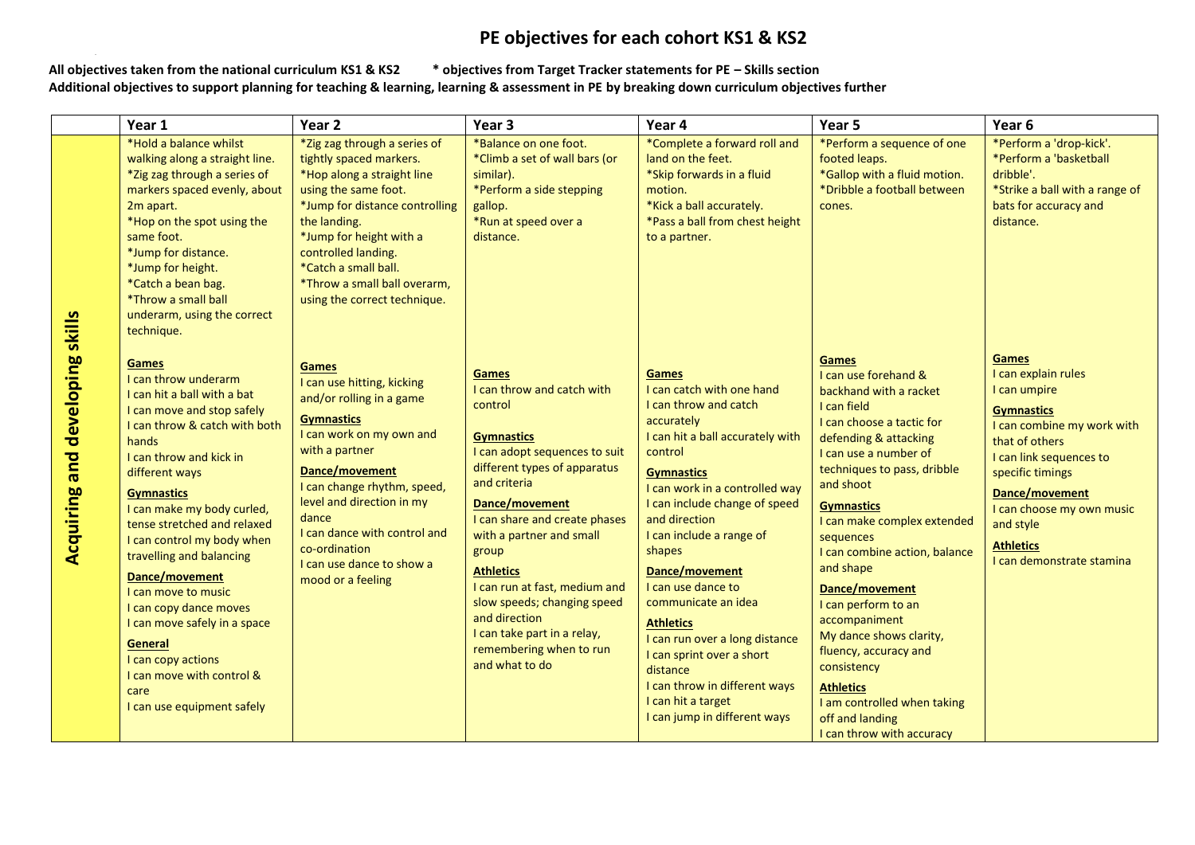## **PE objectives for each cohort KS1 & KS2**

All objectives taken from the national curriculum KS1 & KS2 **All objectives taken from the national curriculum KS1 & KS2 \* objectives from Target Tracker statements for PE – Skills section Additional objectives to support planning for teaching & learning, learning & assessment in PE by breaking down curriculum objectives further**

|                                | Year 1                                                                                                                                                                                                                                                                                                                                                                                                                                                                                                                                      | Year <sub>2</sub>                                                                                                                                                                                                                                                                                                                   | Year <sub>3</sub>                                                                                                                                                                                                                                                                                                                                                                                                                    | Year 4                                                                                                                                                                                                                                                                                                                                                                                                                                                                                                                       | Year 5                                                                                                                                                                                                                                                                                                                                                                                                                                                                                                                                                  | Year <sub>6</sub>                                                                                                                                                                                                                                                                    |
|--------------------------------|---------------------------------------------------------------------------------------------------------------------------------------------------------------------------------------------------------------------------------------------------------------------------------------------------------------------------------------------------------------------------------------------------------------------------------------------------------------------------------------------------------------------------------------------|-------------------------------------------------------------------------------------------------------------------------------------------------------------------------------------------------------------------------------------------------------------------------------------------------------------------------------------|--------------------------------------------------------------------------------------------------------------------------------------------------------------------------------------------------------------------------------------------------------------------------------------------------------------------------------------------------------------------------------------------------------------------------------------|------------------------------------------------------------------------------------------------------------------------------------------------------------------------------------------------------------------------------------------------------------------------------------------------------------------------------------------------------------------------------------------------------------------------------------------------------------------------------------------------------------------------------|---------------------------------------------------------------------------------------------------------------------------------------------------------------------------------------------------------------------------------------------------------------------------------------------------------------------------------------------------------------------------------------------------------------------------------------------------------------------------------------------------------------------------------------------------------|--------------------------------------------------------------------------------------------------------------------------------------------------------------------------------------------------------------------------------------------------------------------------------------|
| skills                         | *Hold a balance whilst<br>walking along a straight line.<br>*Zig zag through a series of<br>markers spaced evenly, about<br>2m apart.<br>*Hop on the spot using the<br>same foot.<br>*Jump for distance.<br>*Jump for height.<br>*Catch a bean bag.<br>*Throw a small ball<br>underarm, using the correct<br>technique.                                                                                                                                                                                                                     | *Zig zag through a series of<br>tightly spaced markers.<br>*Hop along a straight line<br>using the same foot.<br>*Jump for distance controlling<br>the landing.<br>*Jump for height with a<br>controlled landing.<br>*Catch a small ball.<br>*Throw a small ball overarm,<br>using the correct technique.                           | *Balance on one foot.<br>*Climb a set of wall bars (or<br>similar).<br>*Perform a side stepping<br>gallop.<br>*Run at speed over a<br>distance.                                                                                                                                                                                                                                                                                      | *Complete a forward roll and<br>land on the feet.<br>*Skip forwards in a fluid<br>motion.<br>*Kick a ball accurately.<br>*Pass a ball from chest height<br>to a partner.                                                                                                                                                                                                                                                                                                                                                     | *Perform a sequence of one<br>footed leaps.<br>*Gallop with a fluid motion.<br>*Dribble a football between<br>cones.                                                                                                                                                                                                                                                                                                                                                                                                                                    | *Perform a 'drop-kick'.<br>*Perform a 'basketball<br>dribble'.<br>*Strike a ball with a range of<br>bats for accuracy and<br>distance.                                                                                                                                               |
| developing<br>and<br>Acquiring | <b>Games</b><br>I can throw underarm<br>I can hit a ball with a bat<br>I can move and stop safely<br>I can throw & catch with both<br>hands<br>I can throw and kick in<br>different ways<br><b>Gymnastics</b><br>I can make my body curled,<br>tense stretched and relaxed<br>I can control my body when<br>travelling and balancing<br>Dance/movement<br>I can move to music<br>I can copy dance moves<br>I can move safely in a space<br>General<br>I can copy actions<br>I can move with control &<br>care<br>I can use equipment safely | <b>Games</b><br>I can use hitting, kicking<br>and/or rolling in a game<br><b>Gymnastics</b><br>I can work on my own and<br>with a partner<br>Dance/movement<br>I can change rhythm, speed,<br>level and direction in my<br>dance<br>I can dance with control and<br>co-ordination<br>I can use dance to show a<br>mood or a feeling | <b>Games</b><br>I can throw and catch with<br>control<br><b>Gymnastics</b><br>I can adopt sequences to suit<br>different types of apparatus<br>and criteria<br>Dance/movement<br>I can share and create phases<br>with a partner and small<br>group<br><b>Athletics</b><br>I can run at fast, medium and<br>slow speeds; changing speed<br>and direction<br>I can take part in a relay,<br>remembering when to run<br>and what to do | Games<br>I can catch with one hand<br>I can throw and catch<br>accurately<br>I can hit a ball accurately with<br>control<br><b>Gymnastics</b><br>I can work in a controlled way<br>I can include change of speed<br>and direction<br>I can include a range of<br>shapes<br>Dance/movement<br>I can use dance to<br>communicate an idea<br><b>Athletics</b><br>I can run over a long distance<br>I can sprint over a short<br>distance<br>I can throw in different ways<br>I can hit a target<br>I can jump in different ways | <b>Games</b><br>I can use forehand &<br>backhand with a racket<br>I can field<br>I can choose a tactic for<br>defending & attacking<br>I can use a number of<br>techniques to pass, dribble<br>and shoot<br><b>Gymnastics</b><br>I can make complex extended<br>sequences<br>I can combine action, balance<br>and shape<br>Dance/movement<br>I can perform to an<br>accompaniment<br>My dance shows clarity,<br>fluency, accuracy and<br>consistency<br><b>Athletics</b><br>I am controlled when taking<br>off and landing<br>I can throw with accuracy | <b>Games</b><br>I can explain rules<br>I can umpire<br><b>Gymnastics</b><br>I can combine my work with<br>that of others<br>I can link sequences to<br>specific timings<br>Dance/movement<br>I can choose my own music<br>and style<br><b>Athletics</b><br>I can demonstrate stamina |